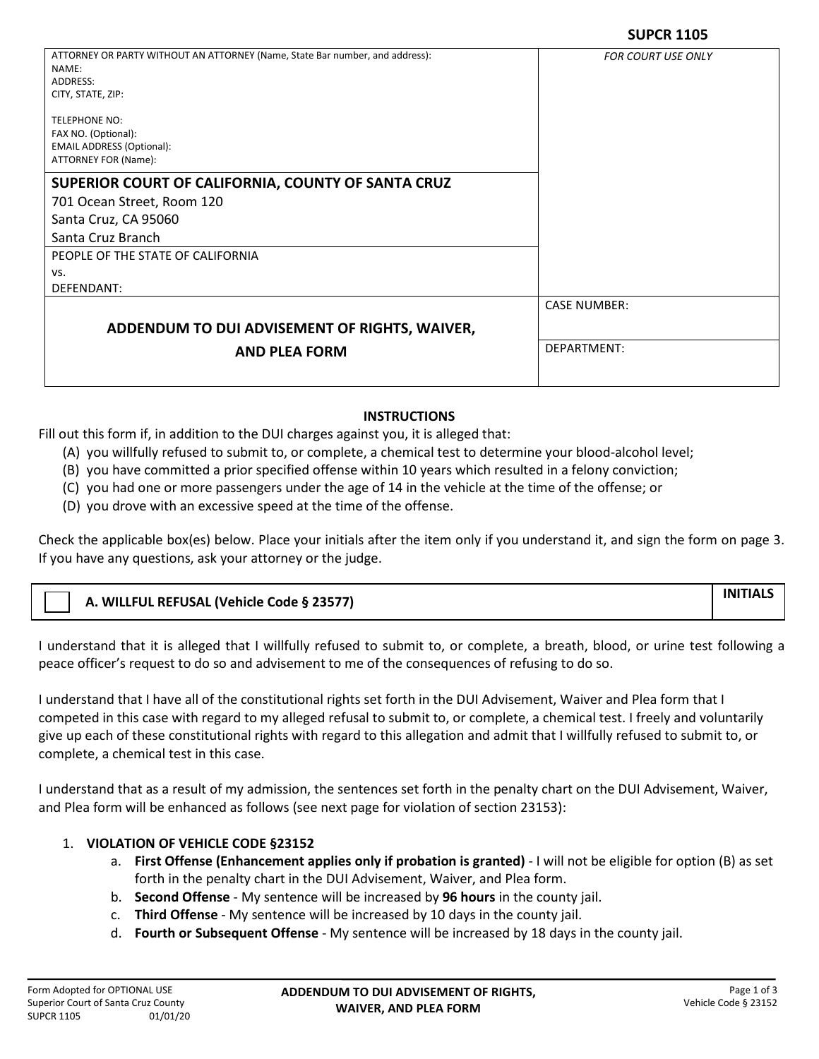| ATTORNEY OR PARTY WITHOUT AN ATTORNEY (Name, State Bar number, and address):<br>NAME: | <b>FOR COURT USE ONLY</b> |
|---------------------------------------------------------------------------------------|---------------------------|
| ADDRESS:                                                                              |                           |
| CITY, STATE, ZIP:                                                                     |                           |
| <b>TELEPHONE NO:</b>                                                                  |                           |
| FAX NO. (Optional):                                                                   |                           |
| <b>EMAIL ADDRESS (Optional):</b>                                                      |                           |
| ATTORNEY FOR (Name):                                                                  |                           |
| SUPERIOR COURT OF CALIFORNIA, COUNTY OF SANTA CRUZ                                    |                           |
| 701 Ocean Street, Room 120                                                            |                           |
| Santa Cruz, CA 95060                                                                  |                           |
| Santa Cruz Branch                                                                     |                           |
| PEOPLE OF THE STATE OF CALIFORNIA                                                     |                           |
| VS.                                                                                   |                           |
| DEFENDANT:                                                                            |                           |
|                                                                                       | <b>CASE NUMBER:</b>       |
| ADDENDUM TO DUI ADVISEMENT OF RIGHTS, WAIVER,                                         |                           |
| <b>AND PLEA FORM</b>                                                                  | DEPARTMENT:               |
|                                                                                       |                           |
|                                                                                       |                           |

## **INSTRUCTIONS**

Fill out this form if, in addition to the DUI charges against you, it is alleged that:

(A) you willfully refused to submit to, or complete, a chemical test to determine your blood-alcohol level;

(B) you have committed a prior specified offense within 10 years which resulted in a felony conviction;

(C) you had one or more passengers under the age of 14 in the vehicle at the time of the offense; or

(D) you drove with an excessive speed at the time of the offense.

Check the applicable box(es) below. Place your initials after the item only if you understand it, and sign the form on page 3. If you have any questions, ask your attorney or the judge.

| A. WILLFUL REFUSAL (Vehicle Code § 23577) | <b>INITIAL</b> |
|-------------------------------------------|----------------|
|                                           |                |

I understand that it is alleged that I willfully refused to submit to, or complete, a breath, blood, or urine test following a peace officer's request to do so and advisement to me of the consequences of refusing to do so.

I understand that I have all of the constitutional rights set forth in the DUI Advisement, Waiver and Plea form that I competed in this case with regard to my alleged refusal to submit to, or complete, a chemical test. I freely and voluntarily give up each of these constitutional rights with regard to this allegation and admit that I willfully refused to submit to, or complete, a chemical test in this case.

I understand that as a result of my admission, the sentences set forth in the penalty chart on the DUI Advisement, Waiver, and Plea form will be enhanced as follows (see next page for violation of section 23153):

## 1. **VIOLATION OF VEHICLE CODE §23152**

- a. **First Offense (Enhancement applies only if probation is granted)**  I will not be eligible for option (B) as set forth in the penalty chart in the DUI Advisement, Waiver, and Plea form.
- b. **Second Offense**  My sentence will be increased by **96 hours** in the county jail.
- c. **Third Offense** My sentence will be increased by 10 days in the county jail.
- d. **Fourth or Subsequent Offense**  My sentence will be increased by 18 days in the county jail.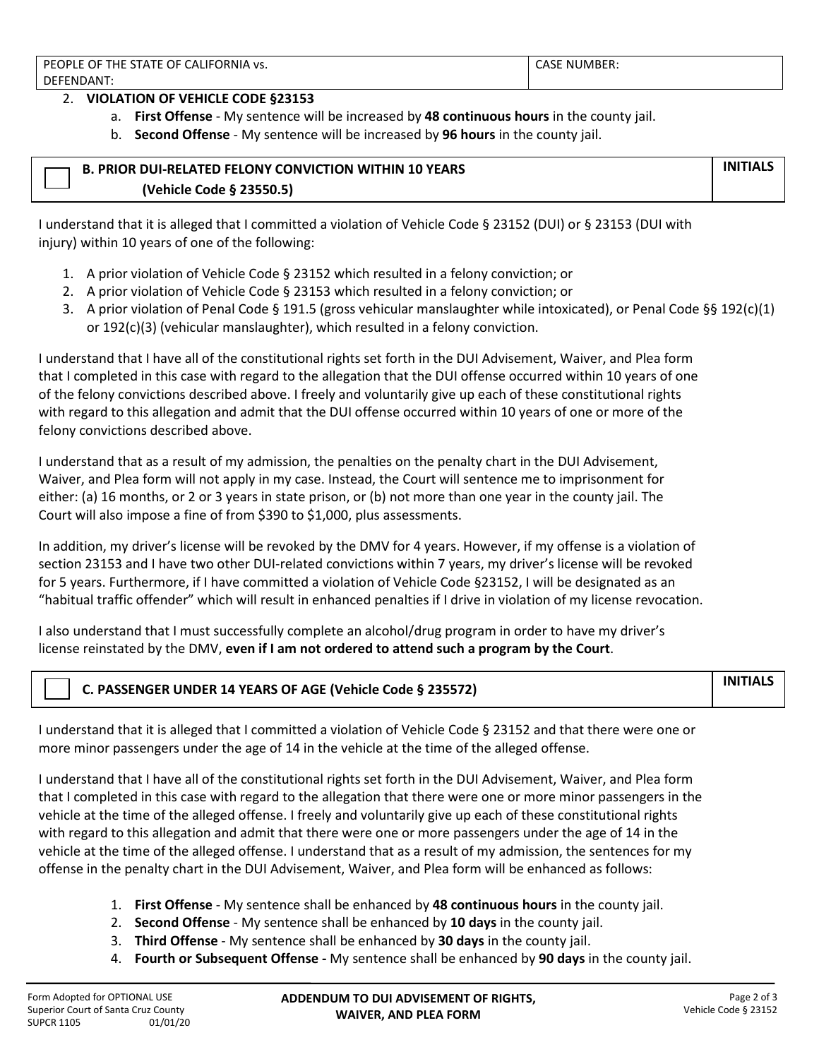2. **VIOLATION OF VEHICLE CODE §23153**

- a. **First Offense**  My sentence will be increased by **48 continuous hours** in the county jail.
- b. **Second Offense**  My sentence will be increased by **96 hours** in the county jail.

| <b>B. PRIOR DUI-RELATED FELONY CONVICTION WITHIN 10 YEARS</b> | <b>INITIALS</b> |
|---------------------------------------------------------------|-----------------|
| (Vehicle Code § 23550.5)                                      |                 |

I understand that it is alleged that I committed a violation of Vehicle Code § 23152 (DUI) or § 23153 (DUI with injury) within 10 years of one of the following:

- 1. A prior violation of Vehicle Code § 23152 which resulted in a felony conviction; or
- 2. A prior violation of Vehicle Code § 23153 which resulted in a felony conviction; or
- 3. A prior violation of Penal Code § 191.5 (gross vehicular manslaughter while intoxicated), or Penal Code §§ 192(c)(1) or 192(c)(3) (vehicular manslaughter), which resulted in a felony conviction.

I understand that I have all of the constitutional rights set forth in the DUI Advisement, Waiver, and Plea form that I completed in this case with regard to the allegation that the DUI offense occurred within 10 years of one of the felony convictions described above. I freely and voluntarily give up each of these constitutional rights with regard to this allegation and admit that the DUI offense occurred within 10 years of one or more of the felony convictions described above.

I understand that as a result of my admission, the penalties on the penalty chart in the DUI Advisement, Waiver, and Plea form will not apply in my case. Instead, the Court will sentence me to imprisonment for either: (a) 16 months, or 2 or 3 years in state prison, or (b) not more than one year in the county jail. The Court will also impose a fine of from \$390 to \$1,000, plus assessments.

In addition, my driver's license will be revoked by the DMV for 4 years. However, if my offense is a violation of section 23153 and I have two other DUI-related convictions within 7 years, my driver's license will be revoked for 5 years. Furthermore, if I have committed a violation of Vehicle Code §23152, I will be designated as an "habitual traffic offender" which will result in enhanced penalties if I drive in violation of my license revocation.

I also understand that I must successfully complete an alcohol/drug program in order to have my driver's license reinstated by the DMV, **even if I am not ordered to attend such a program by the Court**.

|  | C. PASSENGER UNDER 14 YEARS OF AGE (Vehicle Code § 235572) | <b>INITIALS</b> |
|--|------------------------------------------------------------|-----------------|
|--|------------------------------------------------------------|-----------------|

I understand that it is alleged that I committed a violation of Vehicle Code § 23152 and that there were one or more minor passengers under the age of 14 in the vehicle at the time of the alleged offense.

I understand that I have all of the constitutional rights set forth in the DUI Advisement, Waiver, and Plea form that I completed in this case with regard to the allegation that there were one or more minor passengers in the vehicle at the time of the alleged offense. I freely and voluntarily give up each of these constitutional rights with regard to this allegation and admit that there were one or more passengers under the age of 14 in the vehicle at the time of the alleged offense. I understand that as a result of my admission, the sentences for my offense in the penalty chart in the DUI Advisement, Waiver, and Plea form will be enhanced as follows:

- 1. **First Offense**  My sentence shall be enhanced by **48 continuous hours** in the county jail.
- 2. **Second Offense**  My sentence shall be enhanced by **10 days** in the county jail.
- 3. **Third Offense** My sentence shall be enhanced by **30 days** in the county jail.
- 4. **Fourth or Subsequent Offense** My sentence shall be enhanced by **90 days** in the county jail.